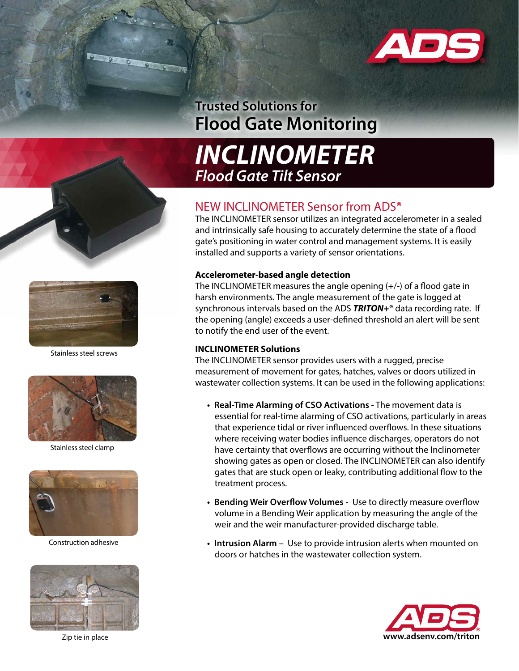

## **Trusted Solutions for Flood Gate Monitoring**



### NEW INCLINOMETER Sensor from ADS**®**

The INCLINOMETER sensor utilizes an integrated accelerometer in a sealed and intrinsically safe housing to accurately determine the state of a flood gate's positioning in water control and management systems. It is easily installed and supports a variety of sensor orientations.

#### **Accelerometer-based angle detection**

The INCLINOMETER measures the angle opening (+/-) of a flood gate in harsh environments. The angle measurement of the gate is logged at synchronous intervals based on the ADS *TRITON+***®** data recording rate. If the opening (angle) exceeds a user-defined threshold an alert will be sent to notify the end user of the event.

#### **INCLINOMETER Solutions**

The INCLINOMETER sensor provides users with a rugged, precise measurement of movement for gates, hatches, valves or doors utilized in wastewater collection systems. It can be used in the following applications:

- **• Real-Time Alarming of CSO Activations**  The movement data is essential for real-time alarming of CSO activations, particularly in areas that experience tidal or river influenced overflows. In these situations where receiving water bodies influence discharges, operators do not have certainty that overflows are occurring without the Inclinometer showing gates as open or closed. The INCLINOMETER can also identify gates that are stuck open or leaky, contributing additional flow to the treatment process.
- **• Bending Weir Overflow Volumes** Use to directly measure overflow volume in a Bending Weir application by measuring the angle of the weir and the weir manufacturer-provided discharge table.
- **• Intrusion Alarm** Use to provide intrusion alerts when mounted on doors or hatches in the wastewater collection system.







Stainless steel screws



Stainless steel clamp



Construction adhesive



Zip tie in place